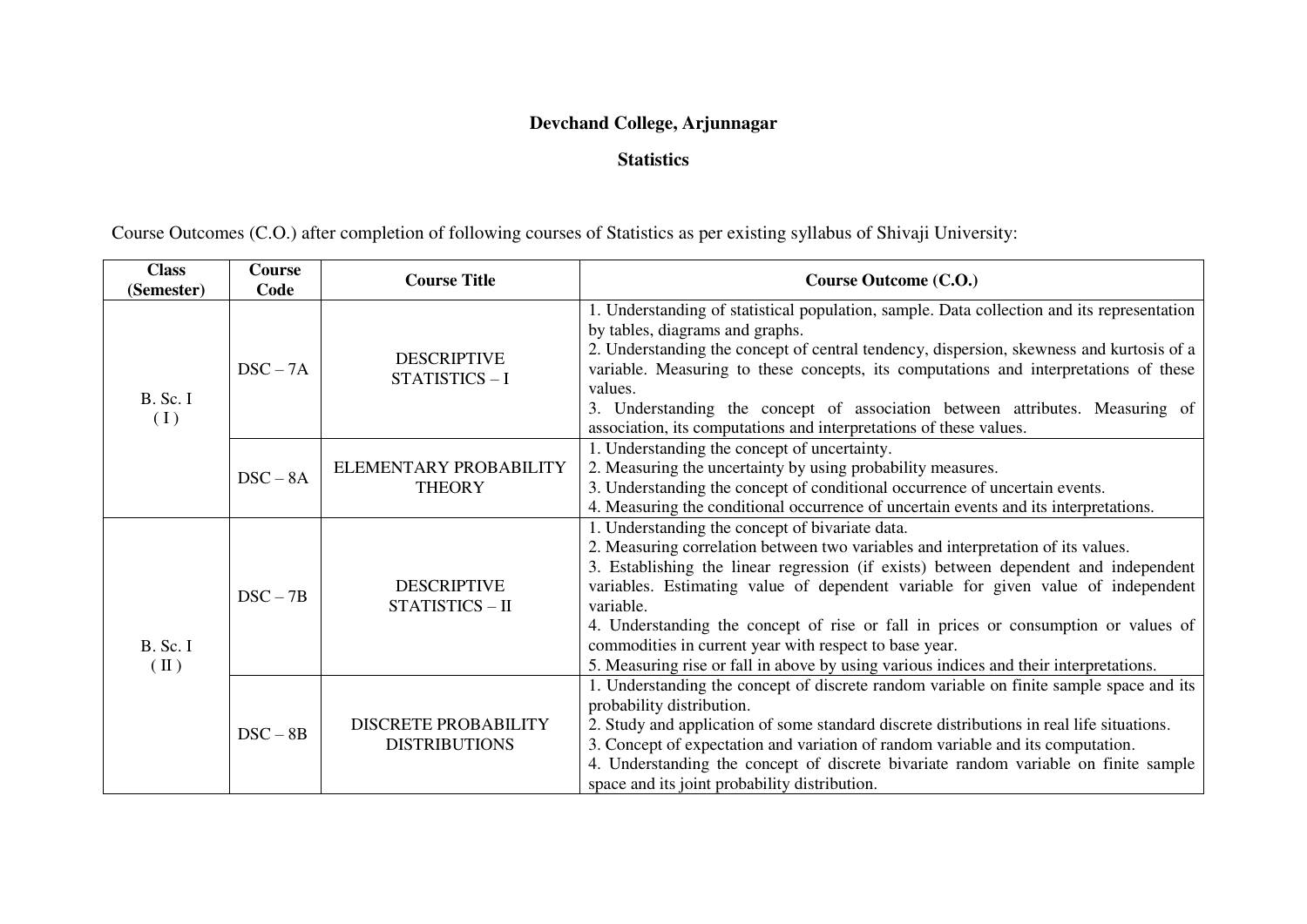## **Devchand College, Arjunnagar**

## **Statistics**

Course Outcomes (C.O.) after completion of following courses of Statistics as per existing syllabus of Shivaji University:

| <b>Class</b><br>(Semester) | <b>Course</b><br>Code | <b>Course Title</b>                                 | Course Outcome (C.O.)                                                                                                                                                                                                                                                                                                                                                                                                                                                                                                                                                 |
|----------------------------|-----------------------|-----------------------------------------------------|-----------------------------------------------------------------------------------------------------------------------------------------------------------------------------------------------------------------------------------------------------------------------------------------------------------------------------------------------------------------------------------------------------------------------------------------------------------------------------------------------------------------------------------------------------------------------|
| B. Sc. I<br>(I)            | $DSC-7A$              | <b>DESCRIPTIVE</b><br>STATISTICS-I                  | 1. Understanding of statistical population, sample. Data collection and its representation<br>by tables, diagrams and graphs.<br>2. Understanding the concept of central tendency, dispersion, skewness and kurtosis of a<br>variable. Measuring to these concepts, its computations and interpretations of these<br>values.<br>3. Understanding the concept of association between attributes. Measuring of<br>association, its computations and interpretations of these values.                                                                                    |
|                            | $DSC - 8A$            | ELEMENTARY PROBABILITY<br><b>THEORY</b>             | 1. Understanding the concept of uncertainty.<br>2. Measuring the uncertainty by using probability measures.<br>3. Understanding the concept of conditional occurrence of uncertain events.<br>4. Measuring the conditional occurrence of uncertain events and its interpretations.                                                                                                                                                                                                                                                                                    |
| B. Sc. I<br>$(\Pi)$        | $DSC - 7B$            | <b>DESCRIPTIVE</b><br>STATISTICS - II               | 1. Understanding the concept of bivariate data.<br>2. Measuring correlation between two variables and interpretation of its values.<br>3. Establishing the linear regression (if exists) between dependent and independent<br>variables. Estimating value of dependent variable for given value of independent<br>variable.<br>4. Understanding the concept of rise or fall in prices or consumption or values of<br>commodities in current year with respect to base year.<br>5. Measuring rise or fall in above by using various indices and their interpretations. |
|                            | $DSC - 8B$            | <b>DISCRETE PROBABILITY</b><br><b>DISTRIBUTIONS</b> | 1. Understanding the concept of discrete random variable on finite sample space and its<br>probability distribution.<br>2. Study and application of some standard discrete distributions in real life situations.<br>3. Concept of expectation and variation of random variable and its computation.<br>4. Understanding the concept of discrete bivariate random variable on finite sample<br>space and its joint probability distribution.                                                                                                                          |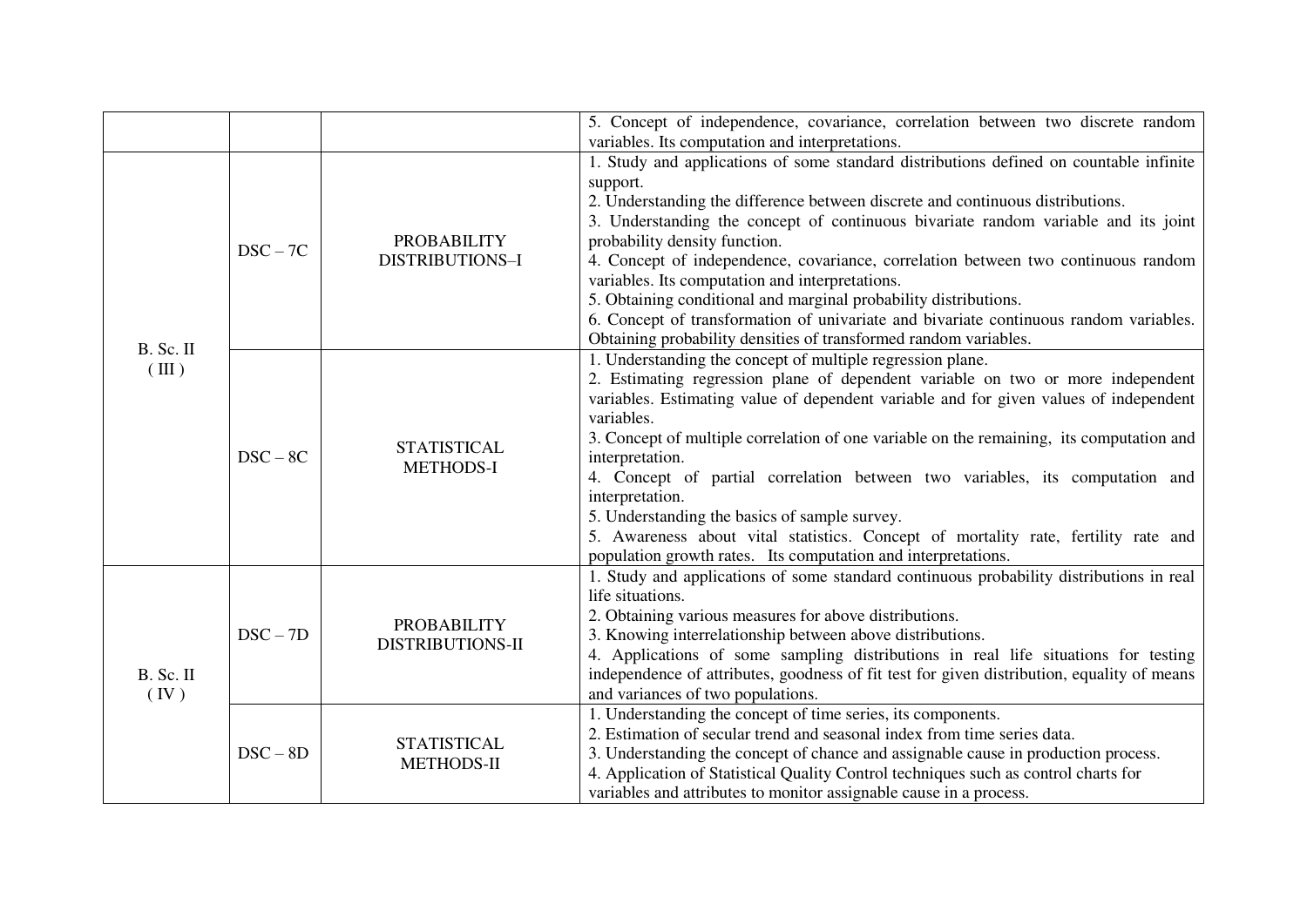|                               |            |                                         | 5. Concept of independence, covariance, correlation between two discrete random<br>variables. Its computation and interpretations.                                                                                                                                                                                                                                                                                                                                                                                                                                                                                                                                             |
|-------------------------------|------------|-----------------------------------------|--------------------------------------------------------------------------------------------------------------------------------------------------------------------------------------------------------------------------------------------------------------------------------------------------------------------------------------------------------------------------------------------------------------------------------------------------------------------------------------------------------------------------------------------------------------------------------------------------------------------------------------------------------------------------------|
|                               |            |                                         | 1. Study and applications of some standard distributions defined on countable infinite                                                                                                                                                                                                                                                                                                                                                                                                                                                                                                                                                                                         |
| B. Sc. II<br>$(\mathbf{III})$ | $DSC-7C$   | <b>PROBABILITY</b><br>DISTRIBUTIONS-I   | support.<br>2. Understanding the difference between discrete and continuous distributions.<br>3. Understanding the concept of continuous bivariate random variable and its joint<br>probability density function.<br>4. Concept of independence, covariance, correlation between two continuous random<br>variables. Its computation and interpretations.<br>5. Obtaining conditional and marginal probability distributions.<br>6. Concept of transformation of univariate and bivariate continuous random variables.<br>Obtaining probability densities of transformed random variables.                                                                                     |
|                               | $DSC-8C$   | <b>STATISTICAL</b><br><b>METHODS-I</b>  | 1. Understanding the concept of multiple regression plane.<br>2. Estimating regression plane of dependent variable on two or more independent<br>variables. Estimating value of dependent variable and for given values of independent<br>variables.<br>3. Concept of multiple correlation of one variable on the remaining, its computation and<br>interpretation.<br>4. Concept of partial correlation between two variables, its computation and<br>interpretation.<br>5. Understanding the basics of sample survey.<br>5. Awareness about vital statistics. Concept of mortality rate, fertility rate and<br>population growth rates. Its computation and interpretations. |
| B. Sc. II<br>(IV)             | $DSC - 7D$ | <b>PROBABILITY</b><br>DISTRIBUTIONS-II  | 1. Study and applications of some standard continuous probability distributions in real<br>life situations.<br>2. Obtaining various measures for above distributions.<br>3. Knowing interrelationship between above distributions.<br>4. Applications of some sampling distributions in real life situations for testing<br>independence of attributes, goodness of fit test for given distribution, equality of means<br>and variances of two populations.                                                                                                                                                                                                                    |
|                               | $DSC - 8D$ | <b>STATISTICAL</b><br><b>METHODS-II</b> | 1. Understanding the concept of time series, its components.<br>2. Estimation of secular trend and seasonal index from time series data.<br>3. Understanding the concept of chance and assignable cause in production process.<br>4. Application of Statistical Quality Control techniques such as control charts for<br>variables and attributes to monitor assignable cause in a process.                                                                                                                                                                                                                                                                                    |